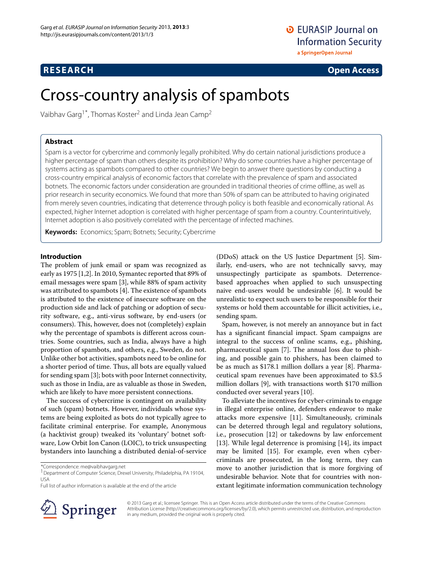# **RESEARCH Open Access**

O EURASIP Journal on **Information Security** a SpringerOpen Journal

# Cross-country analysis of spambots

Vaibhav Garg<sup>1\*</sup>, Thomas Koster<sup>2</sup> and Linda Jean Camp<sup>2</sup>

# **Abstract**

Spam is a vector for cybercrime and commonly legally prohibited. Why do certain national jurisdictions produce a higher percentage of spam than others despite its prohibition? Why do some countries have a higher percentage of systems acting as spambots compared to other countries? We begin to answer there questions by conducting a cross-country empirical analysis of economic factors that correlate with the prevalence of spam and associated botnets. The economic factors under consideration are grounded in traditional theories of crime offline, as well as prior research in security economics. We found that more than 50% of spam can be attributed to having originated from merely seven countries, indicating that deterrence through policy is both feasible and economically rational. As expected, higher Internet adoption is correlated with higher percentage of spam from a country. Counterintuitively, Internet adoption is also positively correlated with the percentage of infected machines.

**Keywords:** Economics; Spam; Botnets; Security; Cybercrime

#### **Introduction**

The problem of junk email or spam was recognized as early as 1975 [\[1,](#page-10-0)[2\]](#page-10-1). In 2010, Symantec reported that 89% of email messages were spam [\[3\]](#page-10-2), while 88% of spam activity was attributed to spambots [\[4\]](#page-10-3). The existence of spambots is attributed to the existence of insecure software on the production side and lack of patching or adoption of security software, e.g., anti-virus software, by end-users (or consumers). This, however, does not (completely) explain why the percentage of spambots is different across countries. Some countries, such as India, always have a high proportion of spambots, and others, e.g., Sweden, do not. Unlike other bot activities, spambots need to be online for a shorter period of time. Thus, all bots are equally valued for sending spam [\[3\]](#page-10-2); bots with poor Internet connectivity, such as those in India, are as valuable as those in Sweden, which are likely to have more persistent connections.

The success of cybercrime is contingent on availability of such (spam) botnets. However, individuals whose systems are being exploited as bots do not typically agree to facilitate criminal enterprise. For example, Anonymous (a hacktivist group) tweaked its 'voluntary' botnet software, Low Orbit Ion Canon (LOIC), to trick unsuspecting bystanders into launching a distributed denial-of-service

\*Correspondence: me@vaibhavgarg.net



Spam, however, is not merely an annoyance but in fact has a significant financial impact. Spam campaigns are integral to the success of online scams, e.g., phishing, pharmaceutical spam [\[7\]](#page-11-2). The annual loss due to phishing, and possible gain to phishers, has been claimed to be as much as \$178.1 million dollars a year [\[8\]](#page-11-3). Pharmaceutical spam revenues have been approximated to \$3.5 million dollars [\[9\]](#page-11-4), with transactions worth \$170 million conducted over several years [\[10\]](#page-11-5).

To alleviate the incentives for cyber-criminals to engage in illegal enterprise online, defenders endeavor to make attacks more expensive [\[11\]](#page-11-6). Simultaneously, criminals can be deterred through legal and regulatory solutions, i.e., prosecution [\[12\]](#page-11-7) or takedowns by law enforcement [\[13\]](#page-11-8). While legal deterrence is promising [\[14\]](#page-11-9), its impact may be limited [\[15\]](#page-11-10). For example, even when cybercriminals are prosecuted, in the long term, they can move to another jurisdiction that is more forgiving of undesirable behavior. Note that for countries with nonextant legitimate information communication technology



© 2013 Garg et al.; licensee Springer. This is an Open Access article distributed under the terms of the Creative Commons Attribution License (http://creativecommons.org/licenses/by/2.0), which permits unrestricted use, distribution, and reproduction in any medium, provided the original work is properly cited.

<sup>&</sup>lt;sup>1</sup> Department of Computer Science, Drexel University, Philadelphia, PA 19104, USA

Full list of author information is available at the end of the article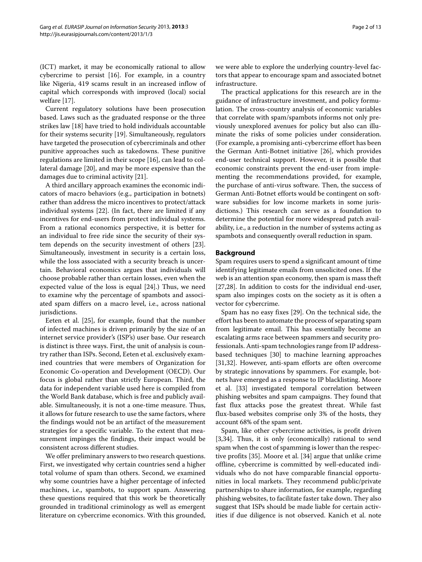(ICT) market, it may be economically rational to allow cybercrime to persist [\[16\]](#page-11-11). For example, in a country like Nigeria, 419 scams result in an increased inflow of capital which corresponds with improved (local) social welfare [\[17\]](#page-11-12).

Current regulatory solutions have been prosecution based. Laws such as the graduated response or the three strikes law [\[18\]](#page-11-13) have tried to hold individuals accountable for their systems security [\[19\]](#page-11-14). Simultaneously, regulators have targeted the prosecution of cybercriminals and other punitive approaches such as takedowns. These punitive regulations are limited in their scope [\[16\]](#page-11-11), can lead to collateral damage [\[20\]](#page-11-15), and may be more expensive than the damages due to criminal activity [\[21\]](#page-11-16).

A third ancillary approach examines the economic indicators of macro behaviors (e.g., participation in botnets) rather than address the micro incentives to protect/attack individual systems [\[22\]](#page-11-17). (In fact, there are limited if any incentives for end-users from protect individual systems. From a rational economics perspective, it is better for an individual to free ride since the security of their system depends on the security investment of others [\[23\]](#page-11-18). Simultaneously, investment in security is a certain loss, while the loss associated with a security breach is uncertain. Behavioral economics argues that individuals will choose probable rather than certain losses, even when the expected value of the loss is equal [\[24\]](#page-11-19).) Thus, we need to examine why the percentage of spambots and associated spam differs on a macro level, i.e., across national jurisdictions.

Eeten et al. [\[25\]](#page-11-20), for example, found that the number of infected machines is driven primarily by the size of an internet service provider's (ISP's) user base. Our research is distinct is three ways. First, the unit of analysis is country rather than ISPs. Second, Eeten et al. exclusively examined countries that were members of Organization for Economic Co-operation and Development (OECD). Our focus is global rather than strictly European. Third, the data for independent variable used here is compiled from the World Bank database, which is free and publicly available. Simultaneously, it is not a one-time measure. Thus, it allows for future research to use the same factors, where the findings would not be an artifact of the measurement strategies for a specific variable. To the extent that measurement impinges the findings, their impact would be consistent across different studies.

We offer preliminary answers to two research questions. First, we investigated why certain countries send a higher total volume of spam than others. Second, we examined why some countries have a higher percentage of infected machines, i.e., spambots, to support spam. Answering these questions required that this work be theoretically grounded in traditional criminology as well as emergent literature on cybercrime economics. With this grounded,

we were able to explore the underlying country-level factors that appear to encourage spam and associated botnet infrastructure.

The practical applications for this research are in the guidance of infrastructure investment, and policy formulation. The cross-country analysis of economic variables that correlate with spam/spambots informs not only previously unexplored avenues for policy but also can illuminate the risks of some policies under consideration. (For example, a promising anti-cybercrime effort has been the German Anti-Botnet initiative [\[26\]](#page-11-21), which provides end-user technical support. However, it is possible that economic constraints prevent the end-user from implementing the recommendations provided, for example, the purchase of anti-virus software. Then, the success of German Anti-Botnet efforts would be contingent on software subsidies for low income markets in some jurisdictions.) This research can serve as a foundation to determine the potential for more widespread patch availability, i.e., a reduction in the number of systems acting as spambots and consequently overall reduction in spam.

#### **Background**

Spam requires users to spend a significant amount of time identifying legitimate emails from unsolicited ones. If the web is an attention span economy, then spam is mass theft [\[27](#page-11-22)[,28\]](#page-11-23). In addition to costs for the individual end-user, spam also impinges costs on the society as it is often a vector for cybercrime.

Spam has no easy fixes [\[29\]](#page-11-24). On the technical side, the effort has been to automate the process of separating spam from legitimate email. This has essentially become an escalating arms race between spammers and security professionals. Anti-spam technologies range from IP addressbased techniques [\[30\]](#page-11-25) to machine learning approaches [\[31](#page-11-26)[,32\]](#page-11-27). However, anti-spam efforts are often overcome by strategic innovations by spammers. For example, botnets have emerged as a response to IP blacklisting. Moore et al. [\[33\]](#page-11-28) investigated temporal correlation between phishing websites and spam campaigns. They found that fast flux attacks pose the greatest threat. While fast flux-based websites comprise only 3% of the hosts, they account 68% of the spam sent.

Spam, like other cybercrime activities, is profit driven [\[3](#page-10-2)[,34\]](#page-11-29). Thus, it is only (economically) rational to send spam when the cost of spamming is lower than the respective profits [\[35\]](#page-11-30). Moore et al. [\[34\]](#page-11-29) argue that unlike crime offline, cybercrime is committed by well-educated individuals who do not have comparable financial opportunities in local markets. They recommend public/private partnerships to share information, for example, regarding phishing websites, to facilitate faster take down. They also suggest that ISPs should be made liable for certain activities if due diligence is not observed. Kanich et al. note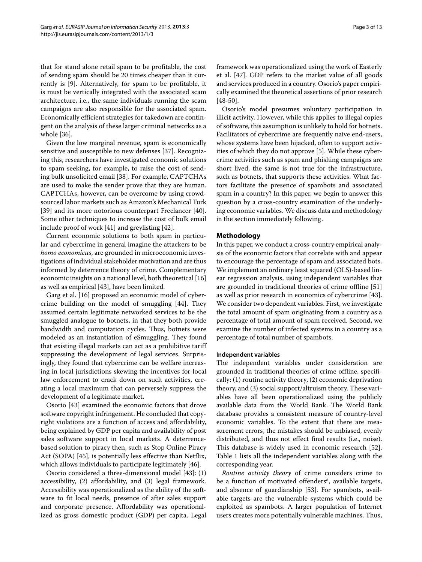that for stand alone retail spam to be profitable, the cost of sending spam should be 20 times cheaper than it currently is [\[9\]](#page-11-4). Alternatively, for spam to be profitable, it is must be vertically integrated with the associated scam architecture, i.e., the same individuals running the scam campaigns are also responsible for the associated spam. Economically efficient strategies for takedown are contingent on the analysis of these larger criminal networks as a whole [\[36\]](#page-11-31).

Given the low marginal revenue, spam is economically sensitive and susceptible to new defenses [\[37\]](#page-11-32). Recognizing this, researchers have investigated economic solutions to spam seeking, for example, to raise the cost of sending bulk unsolicited email [\[38\]](#page-11-33). For example, CAPTCHAs are used to make the sender prove that they are human. CAPTCHAs, however, can be overcome by using crowdsourced labor markets such as Amazon's Mechanical Turk [\[39\]](#page-11-34) and its more notorious counterpart Freelancer [\[40\]](#page-11-35). Some other techniques to increase the cost of bulk email include proof of work [\[41\]](#page-11-36) and greylisting [\[42\]](#page-11-37).

Current economic solutions to both spam in particular and cybercrime in general imagine the attackers to be *homo economicus*, are grounded in microeconomic investigations of individual stakeholder motivation and are thus informed by deterrence theory of crime. Complementary economic insights on a national level, both theoretical [\[16\]](#page-11-11) as well as empirical [\[43\]](#page-11-38), have been limited.

Garg et al. [\[16\]](#page-11-11) proposed an economic model of cybercrime building on the model of smuggling [\[44\]](#page-11-39). They assumed certain legitimate networked services to be the smuggled analogue to botnets, in that they both provide bandwidth and computation cycles. Thus, botnets were modeled as an instantiation of eSmuggling. They found that existing illegal markets can act as a prohibitive tariff suppressing the development of legal services. Surprisingly, they found that cybercrime can be welfare increasing in local jurisdictions skewing the incentives for local law enforcement to crack down on such activities, creating a local maximum that can perversely suppress the development of a legitimate market.

Osorio [\[43\]](#page-11-38) examined the economic factors that drove software copyright infringement. He concluded that copyright violations are a function of access and affordability, being explained by GDP per capita and availability of post sales software support in local markets. A deterrencebased solution to piracy then, such as Stop Online Piracy Act (SOPA) [\[45\]](#page-11-40), is potentially less effective than Netflix, which allows individuals to participate legitimately [\[46\]](#page-11-41).

Osorio considered a three-dimensional model [\[43\]](#page-11-38): (1) accessibility, (2) affordability, and (3) legal framework. Accessibility was operationalized as the ability of the software to fit local needs, presence of after sales support and corporate presence. Affordability was operationalized as gross domestic product (GDP) per capita. Legal framework was operationalized using the work of Easterly et al. [\[47\]](#page-11-42). GDP refers to the market value of all goods and services produced in a country. Osorio's paper empirically examined the theoretical assertions of prior research

[\[48](#page-11-43)[-50\]](#page-11-44). Osorio's model presumes voluntary participation in illicit activity. However, while this applies to illegal copies of software, this assumption is unlikely to hold for botnets. Facilitators of cybercrime are frequently naive end-users, whose systems have been hijacked, often to support activities of which they do not approve [\[5\]](#page-11-0). While these cybercrime activities such as spam and phishing campaigns are short lived, the same is not true for the infrastructure, such as botnets, that supports these activities. What factors facilitate the presence of spambots and associated spam in a country? In this paper, we begin to answer this question by a cross-country examination of the underlying economic variables. We discuss data and methodology in the section immediately following.

### **Methodology**

In this paper, we conduct a cross-country empirical analysis of the economic factors that correlate with and appear to encourage the percentage of spam and associated bots. We implement an ordinary least squared (OLS)-based linear regression analysis, using independent variables that are grounded in traditional theories of crime offline [\[51\]](#page-12-0) as well as prior research in economics of cybercrime [\[43\]](#page-11-38). We consider two dependent variables. First, we investigate the total amount of spam originating from a country as a percentage of total amount of spam received. Second, we examine the number of infected systems in a country as a percentage of total number of spambots.

#### **Independent variables**

The independent variables under consideration are grounded in traditional theories of crime offline, specifically: (1) routine activity theory, (2) economic deprivation theory, and (3) social support/altruism theory. These variables have all been operationalized using the publicly available data from the World Bank. The World Bank database provides a consistent measure of country-level economic variables. To the extent that there are measurement errors, the mistakes should be unbiased, evenly distributed, and thus not effect final results (i.e., noise). This database is widely used in economic research [\[52\]](#page-12-1). Table [1](#page-3-0) lists all the independent variables along with the corresponding year.

*Routine activity theory* of crime considers crime to be a function of motivated offenders<sup>a</sup>, available targets, and absence of guardianship [\[53\]](#page-12-2). For spambots, available targets are the vulnerable systems which could be exploited as spambots. A larger population of Internet users creates more potentially vulnerable machines. Thus,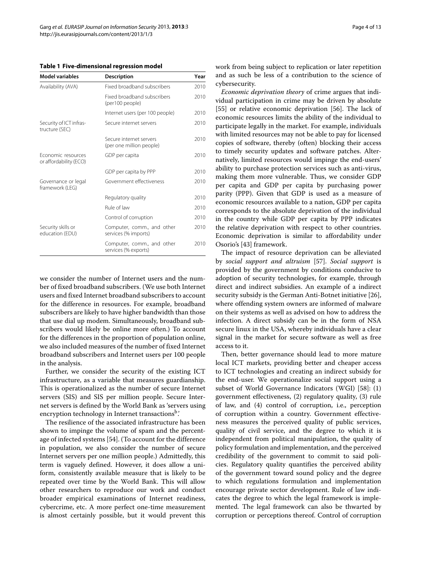#### <span id="page-3-0"></span>**Table 1 Five-dimensional regression model**

| <b>Model variables</b>                       | <b>Description</b>                                  | Year |
|----------------------------------------------|-----------------------------------------------------|------|
| Availability (AVA)                           | Fixed broadband subscribers                         | 2010 |
|                                              | Fixed broadband subscribers<br>(per100 people)      | 2010 |
|                                              | Internet users (per 100 people)                     | 2010 |
| Security of ICT infras-<br>tructure (SEC)    | Secure internet servers                             | 2010 |
|                                              | Secure internet servers<br>(per one million people) | 2010 |
| Fronomic resources<br>or affordability (ECO) | GDP per capita                                      | 2010 |
|                                              | GDP per capita by PPP                               | 2010 |
| Governance or legal<br>framework (LEG)       | Government effectiveness                            | 2010 |
|                                              | Regulatory quality                                  | 2010 |
|                                              | Rule of law                                         | 2010 |
|                                              | Control of corruption                               | 2010 |
| Security skills or<br>education (EDU)        | Computer, comm., and other<br>services (% imports)  | 2010 |
|                                              | Computer, comm., and other<br>services (% exports)  | 2010 |

we consider the number of Internet users and the number of fixed broadband subscribers. (We use both Internet users and fixed Internet broadband subscribers to account for the difference in resources. For example, broadband subscribers are likely to have higher bandwidth than those that use dial up modem. Simultaneously, broadband subscribers would likely be online more often.) To account for the differences in the proportion of population online, we also included measures of the number of fixed Internet broadband subscribers and Internet users per 100 people in the analysis.

Further, we consider the security of the existing ICT infrastructure, as a variable that measures guardianship. This is operationalized as the number of secure Internet servers (SIS) and SIS per million people. Secure Internet servers is defined by the World Bank as 'servers using encryption technology in Internet transactions<sup>b</sup>.'

The resilience of the associated infrastructure has been shown to impinge the volume of spam and the percentage of infected systems [\[54\]](#page-12-3). (To account for the difference in population, we also consider the number of secure Internet servers per one million people.) Admittedly, this term is vaguely defined. However, it does allow a uniform, consistently available measure that is likely to be repeated over time by the World Bank. This will allow other researchers to reproduce our work and conduct broader empirical examinations of Internet readiness, cybercrime, etc. A more perfect one-time measurement is almost certainly possible, but it would prevent this

work from being subject to replication or later repetition and as such be less of a contribution to the science of cybersecurity.

*Economic deprivation theory* of crime argues that individual participation in crime may be driven by absolute [\[55\]](#page-12-4) or relative economic deprivation [\[56\]](#page-12-5). The lack of economic resources limits the ability of the individual to participate legally in the market. For example, individuals with limited resources may not be able to pay for licensed copies of software, thereby (often) blocking their access to timely security updates and software patches. Alternatively, limited resources would impinge the end-users' ability to purchase protection services such as anti-virus, making them more vulnerable. Thus, we consider GDP per capita and GDP per capita by purchasing power parity (PPP). Given that GDP is used as a measure of economic resources available to a nation, GDP per capita corresponds to the absolute deprivation of the individual in the country while GDP per capita by PPP indicates the relative deprivation with respect to other countries. Economic deprivation is similar to affordability under Osorio's [\[43\]](#page-11-38) framework.

The impact of resource deprivation can be alleviated by *social support and altruism* [\[57\]](#page-12-6). *Social support* is provided by the government by conditions conducive to adoption of security technologies, for example, through direct and indirect subsidies. An example of a indirect security subsidy is the German Anti-Botnet initiative [\[26\]](#page-11-21), where offending system owners are informed of malware on their systems as well as advised on how to address the infection. A direct subsidy can be in the form of NSA secure linux in the USA, whereby individuals have a clear signal in the market for secure software as well as free access to it.

Then, better governance should lead to more mature local ICT markets, providing better and cheaper access to ICT technologies and creating an indirect subsidy for the end-user. We operationalize social support using a subset of World Governance Indicators (WGI) [\[58\]](#page-12-7): (1) government effectiveness, (2) regulatory quality, (3) rule of law, and (4) control of corruption, i.e., perception of corruption within a country. Government effectiveness measures the perceived quality of public services, quality of civil service, and the degree to which it is independent from political manipulation, the quality of policy formulation and implementation, and the perceived credibility of the government to commit to said policies. Regulatory quality quantifies the perceived ability of the government toward sound policy and the degree to which regulations formulation and implementation encourage private sector development. Rule of law indicates the degree to which the legal framework is implemented. The legal framework can also be thwarted by corruption or perceptions thereof. Control of corruption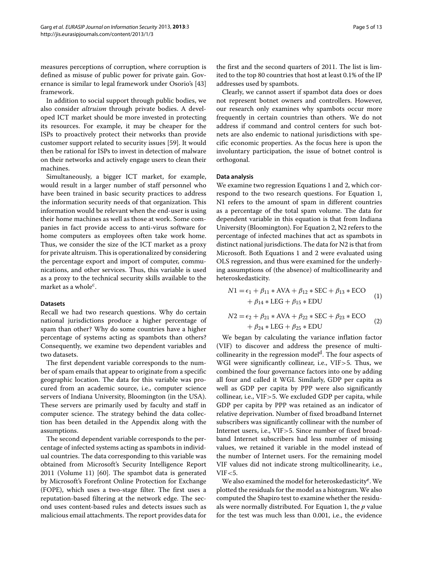measures perceptions of corruption, where corruption is defined as misuse of public power for private gain. Governance is similar to legal framework under Osorio's [\[43\]](#page-11-38) framework.

In addition to social support through public bodies, we also consider *altruism* through private bodies. A developed ICT market should be more invested in protecting its resources. For example, it may be cheaper for the ISPs to proactively protect their networks than provide customer support related to security issues [\[59\]](#page-12-8). It would then be rational for ISPs to invest in detection of malware on their networks and actively engage users to clean their machines.

Simultaneously, a bigger ICT market, for example, would result in a larger number of staff personnel who have been trained in basic security practices to address the information security needs of that organization. This information would be relevant when the end-user is using their home machines as well as those at work. Some companies in fact provide access to anti-virus software for home computers as employees often take work home. Thus, we consider the size of the ICT market as a proxy for private altruism. This is operationalized by considering the percentage export and import of computer, communications, and other services. Thus, this variable is used as a proxy to the technical security skills available to the market as a whole<sup>c</sup>.

#### **Datasets**

Recall we had two research questions. Why do certain national jurisdictions produce a higher percentage of spam than other? Why do some countries have a higher percentage of systems acting as spambots than others? Consequently, we examine two dependent variables and two datasets.

The first dependent variable corresponds to the number of spam emails that appear to originate from a specific geographic location. The data for this variable was procured from an academic source, i.e., computer science servers of Indiana University, Bloomington (in the USA). These servers are primarily used by faculty and staff in computer science. The strategy behind the data collection has been detailed in the Appendix along with the assumptions.

The second dependent variable corresponds to the percentage of infected systems acting as spambots in individual countries. The data corresponding to this variable was obtained from Microsoft's Security Intelligence Report 2011 (Volume 11) [\[60\]](#page-12-9). The spambot data is generated by Microsoft's Forefront Online Protection for Exchange (FOPE), which uses a two-stage filter. The first uses a reputation-based filtering at the network edge. The second uses content-based rules and detects issues such as malicious email attachments. The report provides data for

the first and the second quarters of 2011. The list is limited to the top 80 countries that host at least 0.1% of the IP addresses used by spambots.

Clearly, we cannot assert if spambot data does or does not represent botnet owners and controllers. However, our research only examines why spambots occur more frequently in certain countries than others. We do not address if command and control centers for such botnets are also endemic to national jurisdictions with specific economic properties. As the focus here is upon the involuntary participation, the issue of botnet control is orthogonal.

#### **Data analysis**

We examine two regression Equations [1](#page-4-0) and [2,](#page-4-1) which correspond to the two research questions. For Equation [1,](#page-4-0) N1 refers to the amount of spam in different countries as a percentage of the total spam volume. The data for dependent variable in this equation is that from Indiana University (Bloomington). For Equation [2,](#page-4-1) N2 refers to the percentage of infected machines that act as spambots in distinct national jurisdictions. The data for N2 is that from Microsoft. Both Equations [1](#page-4-0) and [2](#page-4-1) were evaluated using OLS regression, and thus were examined for the underlying assumptions of (the absence) of multicollinearity and heteroskedasticity.

<span id="page-4-0"></span>
$$
N1 = \epsilon_1 + \beta_{11} * AVA + \beta_{12} * SEC + \beta_{13} * ECO + \beta_{14} * LEG + \beta_{15} * EDU
$$
 (1)

<span id="page-4-1"></span>
$$
N2 = \epsilon_2 + \beta_{21} * AVA + \beta_{22} * SEC + \beta_{23} * ECO + \beta_{24} * LEG + \beta_{25} * EDU
$$
 (2)

We began by calculating the variance inflation factor (VIF) to discover and address the presence of multicollinearity in the regression model<sup>d</sup>. The four aspects of WGI were significantly collinear, i.e., VIF*>*5. Thus, we combined the four governance factors into one by adding all four and called it WGI. Similarly, GDP per capita as well as GDP per capita by PPP were also significantly collinear, i.e., VIF*>*5. We excluded GDP per capita, while GDP per capita by PPP was retained as an indicator of relative deprivation. Number of fixed broadband Internet subscribers was significantly collinear with the number of Internet users, i.e., VIF*>*5. Since number of fixed broadband Internet subscribers had less number of missing values, we retained it variable in the model instead of the number of Internet users. For the remaining model VIF values did not indicate strong multicollinearity, i.e., VIF*<*5.

We also examined the model for heteroskedasticity<sup>e</sup>. We plotted the residuals for the model as a histogram. We also computed the Shapiro test to examine whether the residuals were normally distributed. For Equation [1,](#page-4-0) the *p* value for the test was much less than 0.001, i.e., the evidence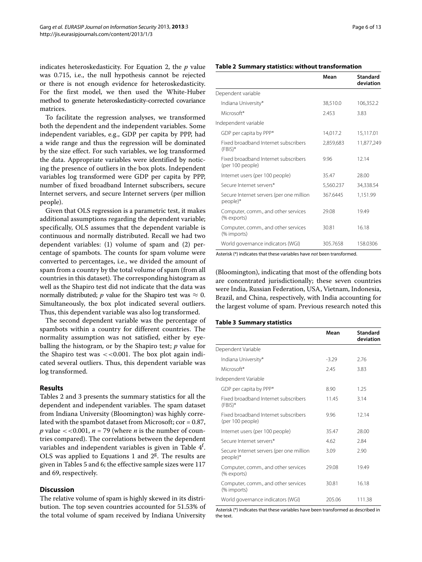indicates heteroskedasticity. For Equation [2,](#page-4-1) the *p* value was 0.715, i.e., the null hypothesis cannot be rejected or there is not enough evidence for heteroskedasticity. For the first model, we then used the White-Huber method to generate heteroskedasticity-corrected covariance matrices.

To facilitate the regression analyses, we transformed both the dependent and the independent variables. Some independent variables, e.g., GDP per capita by PPP, had a wide range and thus the regression will be dominated by the size effect. For such variables, we log transformed the data. Appropriate variables were identified by noticing the presence of outliers in the box plots. Independent variables log transformed were GDP per capita by PPP, number of fixed broadband Internet subscribers, secure Internet servers, and secure Internet servers (per million people).

Given that OLS regression is a parametric test, it makes additional assumptions regarding the dependent variable; specifically, OLS assumes that the dependent variable is continuous and normally distributed. Recall we had two dependent variables: (1) volume of spam and (2) percentage of spambots. The counts for spam volume were converted to percentages, i.e., we divided the amount of spam from a country by the total volume of spam (from all countries in this dataset). The corresponding histogram as well as the Shapiro test did not indicate that the data was normally distributed; *p* value for the Shapiro test was  $\approx 0$ . Simultaneously, the box plot indicated several outliers. Thus, this dependent variable was also log transformed.

The second dependent variable was the percentage of spambots within a country for different countries. The normality assumption was not satisfied, either by eyeballing the histogram, or by the Shapiro test; *p* value for the Shapiro test was *<<*0.001. The box plot again indicated several outliers. Thus, this dependent variable was log transformed.

### **Results**

Tables [2](#page-5-0) and [3](#page-5-1) presents the summary statistics for all the dependent and independent variables. The spam dataset from Indiana University (Bloomington) was highly correlated with the spambot dataset from Microsoft; cor = 0.87,  $p$  value  $<< 0.001$ ,  $n = 79$  (where  $n$  is the number of countries compared). The correlations between the dependent variables and independent variables is given in Table  $4^{\rm f}.$ OLS was applied to Equations [1](#page-4-0) and  $2<sup>g</sup>$ . The results are given in Tables [5](#page-6-1) and [6;](#page-6-2) the effective sample sizes were 117 and 69, respectively.

### **Discussion**

The relative volume of spam is highly skewed in its distribution. The top seven countries accounted for 51.53% of the total volume of spam received by Indiana University

#### **Table 2 Summary statistics: without transformation**

<span id="page-5-0"></span>

|                                                          | Mean      | <b>Standard</b><br>deviation |
|----------------------------------------------------------|-----------|------------------------------|
| Dependent variable                                       |           |                              |
| Indiana University*                                      | 38,510.0  | 106,352.2                    |
| Microsoft*                                               | 2.453     | 3.83                         |
| Independent variable                                     |           |                              |
| GDP per capita by PPP*                                   | 14.017.2  | 15,117.01                    |
| Fixed broadband Internet subscribers<br>$(FBIS)^*$       | 2,859,683 | 11,877,249                   |
| Fixed broadband Internet subscribers<br>(per 100 people) | 9.96      | 12.14                        |
| Internet users (per 100 people)                          | 35.47     | 28.00                        |
| Secure Internet servers*                                 | 5,560.237 | 34,338.54                    |
| Secure Internet servers (per one million<br>people)*     | 367.6445  | 1,151.99                     |
| Computer, comm., and other services<br>(% exports)       | 29.08     | 19.49                        |
| Computer, comm., and other services<br>(% imports)       | 30.81     | 16.18                        |
| World governance indicators (WGI)                        | 305.7658  | 158.0306                     |

Asterisk (\*) indicates that these variables have *not* been transformed.

(Bloomington), indicating that most of the offending bots are concentrated jurisdictionally; these seven countries were India, Russian Federation, USA, Vietnam, Indonesia, Brazil, and China, respectively, with India accounting for the largest volume of spam. Previous research noted this

#### **Table 3 Summary statistics**

<span id="page-5-1"></span>

|                                                          | Mean    | Standard<br>deviation |
|----------------------------------------------------------|---------|-----------------------|
| Dependent Variable                                       |         |                       |
| Indiana University*                                      | $-3.29$ | 2.76                  |
| Microsoft*                                               | 2.45    | 3.83                  |
| Independent Variable                                     |         |                       |
| GDP per capita by PPP*                                   | 8.90    | 1.25                  |
| Fixed broadband Internet subscribers<br>$(FBIS)^*$       | 11.45   | 3.14                  |
| Fixed broadband Internet subscribers<br>(per 100 people) | 9.96    | 12.14                 |
| Internet users (per 100 people)                          | 35.47   | 28.00                 |
| Secure Internet servers*                                 | 4.62    | 2.84                  |
| Secure Internet servers (per one million<br>people)*     | 3.09    | 2.90                  |
| Computer, comm., and other services<br>(% exports)       | 29.08   | 19.49                 |
| Computer, comm., and other services<br>(% imports)       | 30.81   | 16.18                 |
| World governance indicators (WGI)                        | 205.06  | 111.38                |

Asterisk (\*) indicates that these variables have been transformed as described in the text.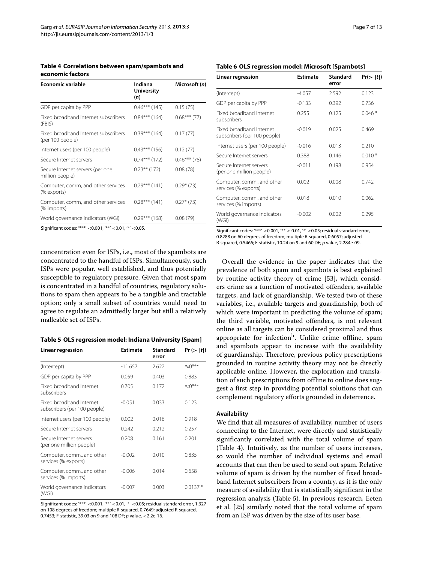<span id="page-6-0"></span>**Table 4 Correlations between spam/spambots and economic factors**

| Economic variable                                        | Indiana<br><b>University</b><br>(n) | Microsoft (n)  |
|----------------------------------------------------------|-------------------------------------|----------------|
| GDP per capita by PPP                                    | $0.46***(145)$                      | 0.15(75)       |
| Fixed broadband Internet subscribers<br>(FBIS)           | $0.84***$ (164)                     | $0.68***(77)$  |
| Fixed broadband Internet subscribers<br>(per 100 people) | $0.39***$ (164)                     | 0.17(77)       |
| Internet users (per 100 people)                          | $0.43***$ (156)                     | 0.12(77)       |
| Secure Internet servers                                  | $0.74***$ (172)                     | $0.46***$ (78) |
| Secure Internet servers (per one<br>million people)      | $0.23**$ (172)                      | 0.08(78)       |
| Computer, comm, and other services<br>(% exports)        | $0.29***$ (141)                     | $0.29*(73)$    |
| Computer, comm, and other services<br>(% imports)        | $0.28***(141)$                      | $0.27*(73)$    |
| World governance indicators (WGI)                        | $0.29***$ (168)                     | 0.08(79)       |
| $Cianificationed$ $(2.2001)(2.2001)$ $(2.2001)(2.2001)$  |                                     |                |

Significant codes: '\*\*\*' *<*0.001, '\*\*' *<*0.01, '\*' *<*0.05.

concentration even for ISPs, i.e., most of the spambots are concentrated to the handful of ISPs. Simultaneously, such ISPs were popular, well established, and thus potentially susceptible to regulatory pressure. Given that most spam is concentrated in a handful of countries, regulatory solutions to spam then appears to be a tangible and tractable option; only a small subset of countries would need to agree to regulate an admittedly larger but still a relatively malleable set of ISPs.

**Table 5 OLS regression model: Indiana University [Spam]**

<span id="page-6-1"></span>

| Linear regression                                        | <b>Estimate</b> | <b>Standard</b><br>error | Pr(>  t )                  |
|----------------------------------------------------------|-----------------|--------------------------|----------------------------|
| (Intercept)                                              | $-11.657$       | 2.622                    | $\approx$ 0 <sup>***</sup> |
| GDP per capita by PPP                                    | 0.059           | 0.403                    | 0.883                      |
| Fixed broadband Internet<br>subscribers                  | 0.705           | 0.172                    | $\approx$ 0 <sup>***</sup> |
| Fixed broadband Internet<br>subscribers (per 100 people) | $-0.051$        | 0.033                    | 0.123                      |
| Internet users (per 100 people)                          | 0.002           | 0.016                    | 0.918                      |
| Secure Internet servers                                  | 0.242           | 0.212                    | 0.257                      |
| Secure Internet servers<br>(per one million people)      | 0.208           | 0.161                    | 0.201                      |
| Computer, comm., and other<br>services (% exports)       | $-0.002$        | 0.010                    | 0.835                      |
| Computer, comm., and other<br>services (% imports)       | $-0.006$        | 0.014                    | 0.658                      |
| World governance indicators<br>(WGI)                     | $-0.007$        | 0.003                    | $0.0137*$                  |

Significant codes: '\*\*\*' *<*0.001, '\*\*' *<*0.01, '\*' *<*0.05; residual standard error, 1.327 on 108 degrees of freedom; multiple R-squared, 0.7649; adjusted R-squared, 0.7453; F-statistic, 39.03 on 9 and 108 DF; *p* value, *<*2.2e-16.

#### <span id="page-6-2"></span>**Table 6 OLS regression model: Microsoft [Spambots]**

| Linear regression                                        | <b>Estimate</b> | Standard<br>error | Pr(>  t ) |
|----------------------------------------------------------|-----------------|-------------------|-----------|
| (Intercept)                                              | $-4.057$        | 2.592             | 0.123     |
| GDP per capita by PPP                                    | $-0.133$        | 0.392             | 0.736     |
| Fixed broadband Internet<br>subscribers                  | 0.255           | 0.125             | $0.046*$  |
| Fixed broadband Internet<br>subscribers (per 100 people) | $-0.019$        | 0.025             | 0.469     |
| Internet users (per 100 people)                          | $-0.016$        | 0.013             | 0.210     |
| Secure Internet servers                                  | 0.388           | 0.146             | $0.010*$  |
| Secure Internet servers<br>(per one million people)      | $-0.011$        | 0.198             | 0.954     |
| Computer, comm., and other<br>services (% exports)       | 0.002           | 0.008             | 0.742     |
| Computer, comm., and other<br>services (% imports)       | 0.018           | 0.010             | 0.062     |
| World governance indicators<br>(WGI)                     | $-0.002$        | 0.002             | 0.295     |

Significant codes: '\*\*\*' *<*0.001, '\*\*'*<* 0.01, '\*' *<*0.05; residual standard error, 0.8288 on 60 degrees of freedom; multiple R-squared, 0.6057; adjusted R-squared, 0.5466; F-statistic, 10.24 on 9 and 60 DF; *p* value, 2.284e-09.

Overall the evidence in the paper indicates that the prevalence of both spam and spambots is best explained by routine activity theory of crime [\[53\]](#page-12-2), which considers crime as a function of motivated offenders, available targets, and lack of guardianship. We tested two of these variables, i.e., available targets and guardianship, both of which were important in predicting the volume of spam; the third variable, motivated offenders, is not relevant online as all targets can be considered proximal and thus appropriate for infection<sup>h</sup>. Unlike crime offline, spam and spambots appear to increase with the availability of guardianship. Therefore, previous policy prescriptions grounded in routine activity theory may not be directly applicable online. However, the exploration and translation of such prescriptions from offline to online does suggest a first step in providing potential solutions that can complement regulatory efforts grounded in deterrence.

#### **Availability**

We find that all measures of availability, number of users connecting to the Internet, were directly and statistically significantly correlated with the total volume of spam (Table [4\)](#page-6-0). Intuitively, as the number of users increases, so would the number of individual systems and email accounts that can then be used to send out spam. Relative volume of spam is driven by the number of fixed broadband Internet subscribers from a country, as it is the only measure of availability that is statistically significant in the regression analysis (Table [5\)](#page-6-1). In previous research, Eeten et al. [\[25\]](#page-11-20) similarly noted that the total volume of spam from an ISP was driven by the size of its user base.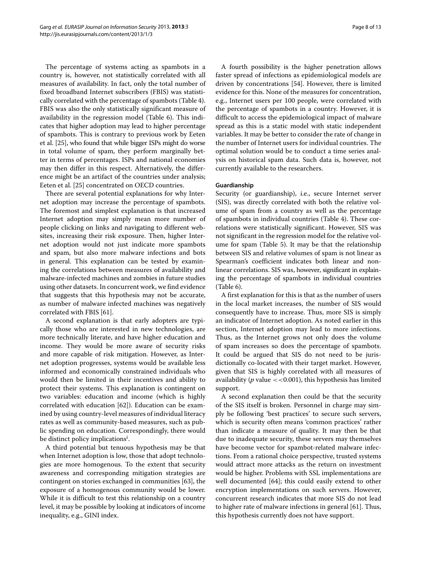The percentage of systems acting as spambots in a country is, however, not statistically correlated with all measures of availability. In fact, only the total number of fixed broadband Internet subscribers (FBIS) was statistically correlated with the percentage of spambots (Table [4\)](#page-6-0). FBIS was also the only statistically significant measure of availability in the regression model (Table [6\)](#page-6-2). This indicates that higher adoption may lead to higher percentage of spambots. This is contrary to previous work by Eeten et al. [\[25\]](#page-11-20), who found that while bigger ISPs might do worse in total volume of spam, they perform marginally better in terms of percentages. ISPs and national economies may then differ in this respect. Alternatively, the difference might be an artifact of the countries under analysis; Eeten et al. [\[25\]](#page-11-20) concentrated on OECD countries.

There are several potential explanations for why Internet adoption may increase the percentage of spambots. The foremost and simplest explanation is that increased Internet adoption may simply mean more number of people clicking on links and navigating to different websites, increasing their risk exposure. Then, higher Internet adoption would not just indicate more spambots and spam, but also more malware infections and bots in general. This explanation can be tested by examining the correlations between measures of availability and malware-infected machines and zombies in future studies using other datasets. In concurrent work, we find evidence that suggests that this hypothesis may not be accurate, as number of malware infected machines was negatively correlated with FBIS [\[61\]](#page-12-10).

A second explanation is that early adopters are typically those who are interested in new technologies, are more technically literate, and have higher education and income. They would be more aware of security risks and more capable of risk mitigation. However, as Internet adoption progresses, systems would be available less informed and economically constrained individuals who would then be limited in their incentives and ability to protect their systems. This explanation is contingent on two variables: education and income (which is highly correlated with education [\[62\]](#page-12-11)). Education can be examined by using country-level measures of individual literacy rates as well as community-based measures, such as public spending on education. Correspondingly, there would be distinct policy implications<sup>i</sup>.

A third potential but tenuous hypothesis may be that when Internet adoption is low, those that adopt technologies are more homogenous. To the extent that security awareness and corresponding mitigation strategies are contingent on stories exchanged in communities [\[63\]](#page-12-12), the exposure of a homogenous community would be lower. While it is difficult to test this relationship on a country level, it may be possible by looking at indicators of income inequality, e.g., GINI index.

A fourth possibility is the higher penetration allows faster spread of infections as epidemiological models are driven by concentrations [\[54\]](#page-12-3). However, there is limited evidence for this. None of the measures for concentration, e.g., Internet users per 100 people, were correlated with the percentage of spambots in a country. However, it is difficult to access the epidemiological impact of malware spread as this is a static model with static independent variables. It may be better to consider the rate of change in the number of Internet users for individual countries. The optimal solution would be to conduct a time series analysis on historical spam data. Such data is, however, not currently available to the researchers.

#### **Guardianship**

Security (or guardianship), i.e., secure Internet server (SIS), was directly correlated with both the relative volume of spam from a country as well as the percentage of spambots in individual countries (Table [4\)](#page-6-0). These correlations were statistically significant. However, SIS was not significant in the regression model for the relative volume for spam (Table [5\)](#page-6-1). It may be that the relationship between SIS and relative volumes of spam is not linear as Spearman's coefficient indicates both linear and nonlinear correlations. SIS was, however, significant in explaining the percentage of spambots in individual countries (Table [6\)](#page-6-2).

A first explanation for this is that as the number of users in the local market increases, the number of SIS would consequently have to increase. Thus, more SIS is simply an indicator of Internet adoption. As noted earlier in this section, Internet adoption may lead to more infections. Thus, as the Internet grows not only does the volume of spam increases so does the percentage of spambots. It could be argued that SIS do not need to be jurisdictionally co-located with their target market. However, given that SIS is highly correlated with all measures of availability (*p* value *<<*0.001), this hypothesis has limited support.

A second explanation then could be that the security of the SIS itself is broken. Personnel in charge may simply be following 'best practices' to secure such servers, which is security often means 'common practices' rather than indicate a measure of quality. It may then be that due to inadequate security, these servers may themselves have become vector for spambot-related malware infections. From a rational choice perspective, trusted systems would attract more attacks as the return on investment would be higher. Problems with SSL implementations are well documented [\[64\]](#page-12-13); this could easily extend to other encryption implementations on such servers. However, concurrent research indicates that more SIS do not lead to higher rate of malware infections in general [\[61\]](#page-12-10). Thus, this hypothesis currently does not have support.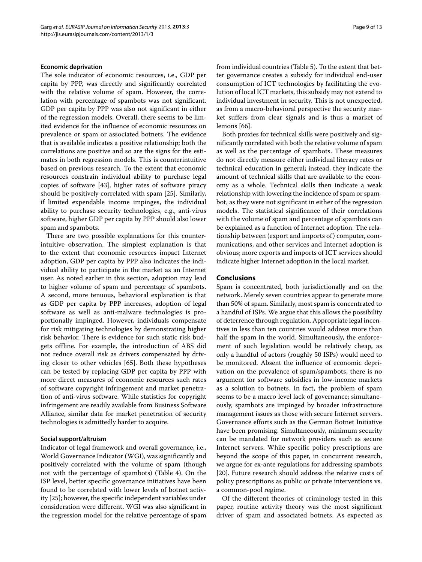#### **Economic deprivation**

The sole indicator of economic resources, i.e., GDP per capita by PPP, was directly and significantly correlated with the relative volume of spam. However, the correlation with percentage of spambots was not significant. GDP per capita by PPP was also not significant in either of the regression models. Overall, there seems to be limited evidence for the influence of economic resources on prevalence or spam or associated botnets. The evidence that is available indicates a positive relationship; both the correlations are positive and so are the signs for the estimates in both regression models. This is counterintuitive based on previous research. To the extent that economic resources constrain individual ability to purchase legal copies of software [\[43\]](#page-11-38), higher rates of software piracy should be positively correlated with spam [\[25\]](#page-11-20). Similarly, if limited expendable income impinges, the individual ability to purchase security technologies, e.g., anti-virus software, higher GDP per capita by PPP should also lower spam and spambots.

There are two possible explanations for this counterintuitive observation. The simplest explanation is that to the extent that economic resources impact Internet adoption, GDP per capita by PPP also indicates the individual ability to participate in the market as an Internet user. As noted earlier in this section, adoption may lead to higher volume of spam and percentage of spambots. A second, more tenuous, behavioral explanation is that as GDP per capita by PPP increases, adoption of legal software as well as anti-malware technologies is proportionally impinged. However, individuals compensate for risk mitigating technologies by demonstrating higher risk behavior. There is evidence for such static risk budgets offline. For example, the introduction of ABS did not reduce overall risk as drivers compensated by driving closer to other vehicles [\[65\]](#page-12-14). Both these hypotheses can be tested by replacing GDP per capita by PPP with more direct measures of economic resources such rates of software copyright infringement and market penetration of anti-virus software. While statistics for copyright infringement are readily available from Business Software Alliance, similar data for market penetration of security technologies is admittedly harder to acquire.

#### **Social support/altruism**

Indicator of legal framework and overall governance, i.e., World Governance Indicator (WGI), was significantly and positively correlated with the volume of spam (though not with the percentage of spambots) (Table [4\)](#page-6-0). On the ISP level, better specific governance initiatives have been found to be correlated with lower levels of botnet activity [\[25\]](#page-11-20); however, the specific independent variables under consideration were different. WGI was also significant in the regression model for the relative percentage of spam from individual countries (Table [5\)](#page-6-1). To the extent that better governance creates a subsidy for individual end-user consumption of ICT technologies by facilitating the evolution of local ICT markets, this subsidy may not extend to individual investment in security. This is not unexpected, as from a macro-behavioral perspective the security market suffers from clear signals and is thus a market of lemons [\[66\]](#page-12-15).

Both proxies for technical skills were positively and significantly correlated with both the relative volume of spam as well as the percentage of spambots. These measures do not directly measure either individual literacy rates or technical education in general; instead, they indicate the amount of technical skills that are available to the economy as a whole. Technical skills then indicate a weak relationship with lowering the incidence of spam or spambot, as they were not significant in either of the regression models. The statistical significance of their correlations with the volume of spam and percentage of spambots can be explained as a function of Internet adoption. The relationship between (export and imports of ) computer, communications, and other services and Internet adoption is obvious; more exports and imports of ICT services should indicate higher Internet adoption in the local market.

#### **Conclusions**

Spam is concentrated, both jurisdictionally and on the network. Merely seven countries appear to generate more than 50% of spam. Similarly, most spam is concentrated to a handful of ISPs. We argue that this allows the possibility of deterrence through regulation. Appropriate legal incentives in less than ten countries would address more than half the spam in the world. Simultaneously, the enforcement of such legislation would be relatively cheap, as only a handful of actors (roughly 50 ISPs) would need to be monitored. Absent the influence of economic deprivation on the prevalence of spam/spambots, there is no argument for software subsidies in low-income markets as a solution to botnets. In fact, the problem of spam seems to be a macro level lack of governance; simultaneously, spambots are impinged by broader infrastructure management issues as those with secure Internet servers. Governance efforts such as the German Botnet Initiative have been promising. Simultaneously, minimum security can be mandated for network providers such as secure Internet servers. While specific policy prescriptions are beyond the scope of this paper, in concurrent research, we argue for ex-ante regulations for addressing spambots [\[20\]](#page-11-15). Future research should address the relative costs of policy prescriptions as public or private interventions vs. a common-pool regime.

Of the different theories of criminology tested in this paper, routine activity theory was the most significant driver of spam and associated botnets. As expected as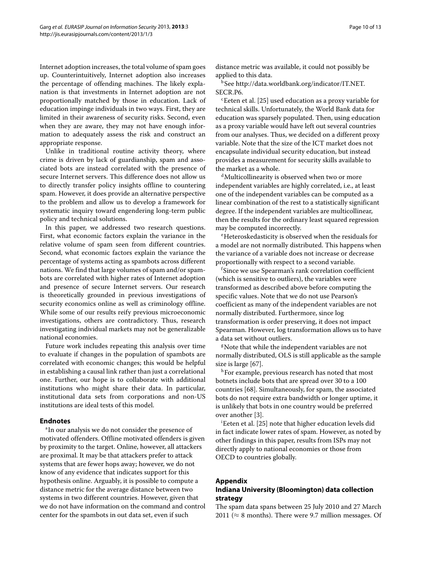Internet adoption increases, the total volume of spam goes up. Counterintuitively, Internet adoption also increases the percentage of offending machines. The likely explanation is that investments in Internet adoption are not proportionally matched by those in education. Lack of education impinge individuals in two ways. First, they are limited in their awareness of security risks. Second, even when they are aware, they may not have enough information to adequately assess the risk and construct an appropriate response.

Unlike in traditional routine activity theory, where crime is driven by lack of guardianship, spam and associated bots are instead correlated with the presence of secure Internet servers. This difference does not allow us to directly transfer policy insights offline to countering spam. However, it does provide an alternative perspective to the problem and allow us to develop a framework for systematic inquiry toward engendering long-term public policy and technical solutions.

In this paper, we addressed two research questions. First, what economic factors explain the variance in the relative volume of spam seen from different countries. Second, what economic factors explain the variance the percentage of systems acting as spambots across different nations. We find that large volumes of spam and/or spambots are correlated with higher rates of Internet adoption and presence of secure Internet servers. Our research is theoretically grounded in previous investigations of security economics online as well as criminology offline. While some of our results reify previous microeconomic investigations, others are contradictory. Thus, research investigating individual markets may not be generalizable national economies.

Future work includes repeating this analysis over time to evaluate if changes in the population of spambots are correlated with economic changes; this would be helpful in establishing a causal link rather than just a correlational one. Further, our hope is to collaborate with additional institutions who might share their data. In particular, institutional data sets from corporations and non-US institutions are ideal tests of this model.

### **Endnotes**

<sup>a</sup>In our analysis we do not consider the presence of motivated offenders. Offline motivated offenders is given by proximity to the target. Online, however, all attackers are proximal. It may be that attackers prefer to attack systems that are fewer hops away; however, we do not know of any evidence that indicates support for this hypothesis online. Arguably, it is possible to compute a distance metric for the average distance between two systems in two different countries. However, given that we do not have information on the command and control center for the spambots in out data set, even if such

distance metric was available, it could not possibly be applied to this data.

bSee [http://data.worldbank.org/indicator/IT.NET.](http://data.worldbank.org/indicator/IT.NET.SECR.P6) [SECR.P6.](http://data.worldbank.org/indicator/IT.NET.SECR.P6)

 $c$ Eeten et al. [\[25\]](#page-11-20) used education as a proxy variable for technical skills. Unfortunately, the World Bank data for education was sparsely populated. Then, using education as a proxy variable would have left out several countries from our analyses. Thus, we decided on a different proxy variable. Note that the size of the ICT market does not encapsulate individual security education, but instead provides a measurement for security skills available to the market as a whole.

<sup>d</sup>Multicollinearity is observed when two or more independent variables are highly correlated, i.e., at least one of the independent variables can be computed as a linear combination of the rest to a statistically significant degree. If the independent variables are multicollinear, then the results for the ordinary least squared regression may be computed incorrectly.

eHeteroskedasticity is observed when the residuals for a model are not normally distributed. This happens when the variance of a variable does not increase or decrease proportionally with respect to a second variable.

f Since we use Spearman's rank correlation coefficient (which is sensitive to outliers), the variables were transformed as described above before computing the specific values. Note that we do not use Pearson's coefficient as many of the independent variables are not normally distributed. Furthermore, since log transformation is order preserving, it does not impact Spearman. However, log transformation allows us to have a data set without outliers.

<sup>g</sup>Note that while the independent variables are not normally distributed, OLS is still applicable as the sample size is large [\[67\]](#page-12-16).

<sup>h</sup>For example, previous research has noted that most botnets include bots that are spread over 30 to a 100 countries [\[68\]](#page-12-17). Simultaneously, for spam, the associated bots do not require extra bandwidth or longer uptime, it is unlikely that bots in one country would be preferred over another [\[3\]](#page-10-2).

i Eeten et al. [\[25\]](#page-11-20) note that higher education levels did in fact indicate lower rates of spam. However, as noted by other findings in this paper, results from ISPs may not directly apply to national economies or those from OECD to countries globally.

#### **Appendix**

# **Indiana University (Bloomington) data collection strategy**

The spam data spans between 25 July 2010 and 27 March 2011 ( $\approx$  8 months). There were 9.7 million messages. Of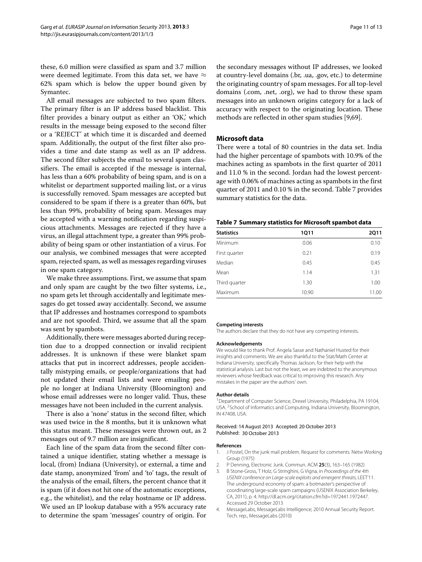these, 6.0 million were classified as spam and 3.7 million were deemed legitimate. From this data set, we have  $\approx$ 62% spam which is below the upper bound given by Symantec.

All email messages are subjected to two spam filters. The primary filter is an IP address based blacklist. This filter provides a binary output as either an 'OK,' which results in the message being exposed to the second filter or a 'REJECT' at which time it is discarded and deemed spam. Additionally, the output of the first filter also provides a time and date stamp as well as an IP address. The second filter subjects the email to several spam classifiers. The email is accepted if the message is internal, has less than a 60% probability of being spam, and is on a whitelist or department supported mailing list, or a virus is successfully removed. Spam messages are accepted but considered to be spam if there is a greater than 60%, but less than 99%, probability of being spam. Messages may be accepted with a warning notification regarding suspicious attachments. Messages are rejected if they have a virus, an illegal attachment type, a greater than 99% probability of being spam or other instantiation of a virus. For our analysis, we combined messages that were accepted spam, rejected spam, as well as messages regarding viruses in one spam category.

We make three assumptions. First, we assume that spam and only spam are caught by the two filter systems, i.e., no spam gets let through accidentally and legitimate messages do get tossed away accidentally. Second, we assume that IP addresses and hostnames correspond to spambots and are not spoofed. Third, we assume that all the spam was sent by spambots.

Additionally, there were messages aborted during reception due to a dropped connection or invalid recipient addresses. It is unknown if these were blanket spam attacks that put in incorrect addresses, people accidentally mistyping emails, or people/organizations that had not updated their email lists and were emailing people no longer at Indiana University (Bloomington) and whose email addresses were no longer valid. Thus, these messages have not been included in the current analysis.

There is also a 'none' status in the second filter, which was used twice in the 8 months, but it is unknown what this status meant. These messages were thrown out, as 2 messages out of 9.7 million are insignificant.

Each line of the spam data from the second filter contained a unique identifier, stating whether a message is local, (from) Indiana (University), or external, a time and date stamp, anonymized 'from' and 'to' tags, the result of the analysis of the email, filters, the percent chance that it is spam (if it does not hit one of the automatic exceptions, e.g., the whitelist), and the relay hostname or IP address. We used an IP lookup database with a 95% accuracy rate to determine the spam 'messages' country of origin. For

the secondary messages without IP addresses, we looked at country-level domains (.br, .ua, .gov, etc.) to determine the originating country of spam messages. For all top-level domains (.com, .net, .org), we had to throw these spam messages into an unknown origins category for a lack of accuracy with respect to the originating location. These methods are reflected in other spam studies [\[9,](#page-11-4)[69\]](#page-12-18).

#### **Microsoft data**

There were a total of 80 countries in the data set. India had the higher percentage of spambots with 10.9% of the machines acting as spambots in the first quarter of 2011 and 11.0 % in the second. Jordan had the lowest percentage with 0.06% of machines acting as spambots in the first quarter of 2011 and 0.10 % in the second. Table [7](#page-10-4) provides summary statistics for the data.

#### **Table 7 Summary statistics for Microsoft spambot data**

<span id="page-10-4"></span>

| Statistics    | 1Q11  | <b>2Q11</b> |
|---------------|-------|-------------|
| Minimum       | 0.06  | 0.10        |
| First quarter | 0.21  | 0.19        |
| Median        | 0.45  | 0.45        |
| Mean          | 1.14  | 1.31        |
| Third quarter | 1.30  | 1.00        |
| Maximum       | 10.90 | 11.00       |
|               |       |             |

#### **Competing interests**

The authors declare that they do not have any competing interests.

#### **Acknowledgements**

We would like to thank Prof. Angela Sasse and Nathaniel Husted for their insights and comments. We are also thankful to the Stat/Math Center at Indiana University, specifically Thomas Jackson, for their help with the statistical analysis. Last but not the least, we are indebted to the anonymous reviewers whose feedback was critical to improving this research. Any mistakes in the paper are the authors' own.

#### **Author details**

<sup>1</sup> Department of Computer Science, Drexel University, Philadelphia, PA 19104, USA. <sup>2</sup> School of Informatics and Computing, Indiana University, Bloomington, IN 47408, USA.

#### Received: 14 August 2013 Accepted: 20 October 2013 Published: 30 October 2013

#### **References**

- <span id="page-10-0"></span>1. J Postel, On the junk mail problem. Request for comments. Netw Working Group (1975)
- <span id="page-10-1"></span>2. P Denning, Electronic Junk. Commun. ACM **25**(3), 163–165 (1982)
- <span id="page-10-2"></span>3. B Stone-Gross, T Holz, G Stringhini, G Vigna, in Proceedings of the 4th USENIX conference on Large-scale exploits and emergent threats, LEET'11. The underground economy of spam: a botmaster's perspective of coordinating large-scale spam campaigns (USENIX Association Berkeley, CA, 2011), p. 4. [http://dl.acm.org/citation.cfm?id=1972441.1972447.](http://dl.acm.org/citation.cfm?id=1972441.1972447) Accessed 29 October 2013
- <span id="page-10-3"></span>4. MessageLabs, MessageLabs Intelligence; 2010 Annual Security Report. Tech. rep., MessageLabs (2010)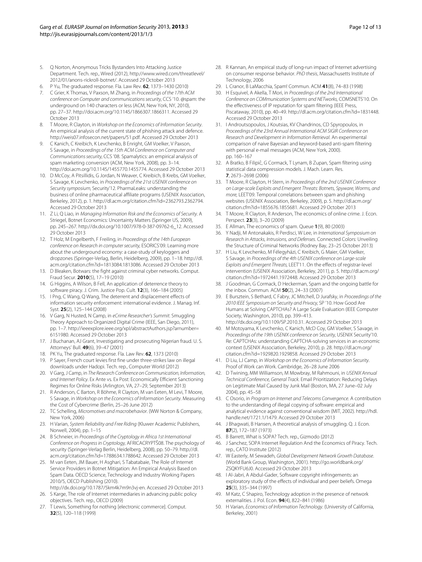- <span id="page-11-0"></span>5. Q Norton, Anonymous Tricks Bystanders Into Attacking Justice Department. Tech. rep., Wired (2012), [http://www.wired.com/threatlevel/](http://www.wired.com/threatlevel/2012/01/anons-rickroll-botnet/) [2012/01/anons-rickroll-botnet/.](http://www.wired.com/threatlevel/2012/01/anons-rickroll-botnet/) Accessed 29 October 2013
- <span id="page-11-1"></span>6. P Yu, The graduated response. Fla. Law Rev. **62**, 1373–1430 (2010)
- <span id="page-11-2"></span>7. C Grier, K Thomas, V Paxson, M Zhang, in Proceedings of the 17th ACM conference on Computer and communications security, CCS '10. @spam: the underground on 140 characters or less (ACM, New York, NY, 2010), pp. 27–37. http://doi.acm.org/10.1145/1866307.1866311. Accessed 29 October 2013
- <span id="page-11-3"></span>8. T Moore, R Clayton, in Workshop on the Economics of Information Security. An empirical analysis of the current state of phishing attack and defence. [http://weis07.infosecon.net/papers/51.pdf.](http://weis07.infosecon.net/papers/51.pdf) Accessed 29 October 2013
- <span id="page-11-4"></span>9. C Kanich, C Kreibich, K Levchenko, B Enright, GM Voelker, V Paxson, S Savage, in Proceedings of the 15th ACM Conference on Computer and Communications security, CCS '08. Spamalytics: an empirical analysis of spam marketing conversion (ACM, New York, 2008), pp. 3–14. http://doi.acm.org/10.1145/1455770.1455774. Accessed 29 October 2013
- <span id="page-11-5"></span>10. D McCoy, A Pitsillidis, G Jordan, N Weaver, C Kreibich, B Krebs, GM Voelker, S Savage, K Levchenko, in Proceedings of the 21st USENIX conference on Security symposium, Security'12. PharmaLeaks: understanding the business of online pharmaceutical affiliate programs (USENIX Association, Berkeley, 2012), p. 1. [http://dl.acm.org/citation.cfm?id=2362793.2362794.](http://dl.acm.org/citation.cfm?id=2362793.2362794) Accessed 29 October 2013
- <span id="page-11-6"></span>11. Z Li, Q Liao, in Managing Information Risk and the Economics of Security. A Striegel, Botnet Economics: Uncertainty Matters (Springer US, 2009), pp. 245–267. http://dx.doi.org/10.1007/978-0-387-09762-6\_12. Accessed 29 October 2013
- <span id="page-11-7"></span>12. T Holz, M Engelberth, F Freiling, in Proceedings of the 14th European conference on Research in computer security, ESORICS'09. Learning more about the underground economy: a case-study of keyloggers and dropzones (Springer-Verlag, Berlin, Heidelberg, 2009), pp. 1–18. [http://dl.](http://dl.acm.org/citation.cfm?id=1813084.1813086) [acm.org/citation.cfm?id=1813084.1813086.](http://dl.acm.org/citation.cfm?id=1813084.1813086) Accessed 29 October 2013
- <span id="page-11-8"></span>13. D Bleaken, Botwars: the fight against criminal cyber networks. Comput. Fraud Secur. **2010**(5), 17–19 (2010)
- <span id="page-11-9"></span>14. G Higgins, A Wilson, B Fell, An application of deterrence theory to software piracy. J. Crim. Justice Pop. Cult. **12**(3), 166–184 (2005)
- <span id="page-11-10"></span>15. I Png, C Wang, Q Wang, The deterrent and displacement effects of information security enforcement: international evidence. J. Manag. Inf. Syst. **25**(2), 125–144 (2008)
- <span id="page-11-11"></span>16. V Garg, N Husted, N Camp, in eCrime Researcher's Summit. Smuggling Theory Approach to Organized Digital Crime (IEEE, San Diego, 2011), pp. 1–7. [http://ieeexplore.ieee.org/xpl/abstractAuthors.jsp?arnumber=](http://ieeexplore.ieee.org/xpl/abstractAuthors.jsp?arnumber=6151980) [6151980.](http://ieeexplore.ieee.org/xpl/abstractAuthors.jsp?arnumber=6151980) Accessed 29 October 2013
- <span id="page-11-12"></span>17. J Buchanan, AJ Grant, Investigating and prosecuting Nigerian fraud. U. S. Attorneys' Bull. **49**(6), 39–47 (2001)
- <span id="page-11-13"></span>18. PK Yu, The graduated response. Fla. Law Rev. **62**, 1373 (2010)
- <span id="page-11-14"></span>19. P Sayer, French court levies first fine under three-strikes law on illegal downloads under Hadopi. Tech. rep., Computer World (2012)
- <span id="page-11-15"></span>20. V Garg, J Camp, in The Research Conference on Communication, Information, and Internet Policy. Ex Ante vs. Ex Post: Economically Efficient Sanctioning Regimes for Online Risks (Arlington, VA, 27–29, September 2013)
- <span id="page-11-16"></span>21. R Anderson, C Barton, R Böhme, R Clayton, M van Eeten, M Levi, T Moore, S Savage, in Workshop on the Economics of Information Security. Measuring the Cost of Cybercrime (Berlin, 25–26 June 2012)
- <span id="page-11-17"></span>22. TC Schelling, Micromotives and macrobehavior. (WW Norton & Company, New York, 2006)
- <span id="page-11-18"></span>23. H Varian, System Reliability and Free Riding (Kluwer Academic Publishers, Norwell, 2004), pp. 1–15
- <span id="page-11-19"></span>24. B Schneier, in Proceedings of the Cryptology in Africa 1st International Conference on Progress in Cryptology, AFRICACRYPTŠ08. The psychology of security (Springer-Verlag Berlin, Heidelberg, 2008), pp. 50–79. [http://dl.](http://dl.acm.org/citation.cfm?id=1788634.1788642) [acm.org/citation.cfm?id=1788634.1788642.](http://dl.acm.org/citation.cfm?id=1788634.1788642) Accessed 29 October 2013
- <span id="page-11-20"></span>25. M van Eeten, JM Bauer, H Asghari, S Tabatabaie, The Role of Internet Service Providers in Botnet Mitigation: An Empirical Analysis Based on Spam Data. OECD Science, Technology and Industry Working Papers 2010/5, OECD Publishing (2010).
- http://dx.doi.org/10.1787/5km4k7m9n3vj-en. Accessed 29 October 2013 26. S Karge, The role of Internet intermediaries in advancing public policy
- <span id="page-11-22"></span><span id="page-11-21"></span>objectives. Tech. rep., OECD (2009) 27. T Lewis, Something for nothing [electronic commerce]. Comput. **32**(5), 120–118 (1999)
- <span id="page-11-23"></span>28. R Kannan, An empirical study of long-run impact of Internet advertising on consumer response behavior. PhD thesis, Massachusetts Institute of Technology, 2006
- <span id="page-11-24"></span>29. L Cranor, B LaMacchia, Spam! Commun. ACM **41**(8), 74–83 (1998)
- <span id="page-11-25"></span>30. H Esquivel, A Akella, T Mori, in Proceedings of the 2nd International Conference on COMmunication Systems and NETworks, COMSNETS'10. On the effectiveness of IP reputation for spam filtering (IEEE Press, Piscataway, 2010), pp. 40–49. [http://dl.acm.org/citation.cfm?id=1831448.](http://dl.acm.org/citation.cfm?id=1831448) Accessed 29 October 2013
- <span id="page-11-26"></span>31. I Androutsopoulos, J Koutsias, KV Chandrinos, CD Spyropoulos, in Proceedings of the 23rd Annual International ACM SIGIR Conference on Research and Development in Information Retrieval. An experimental comparison of naive Bayesian and keyword-based anti-spam filtering with personal e-mail messages (ACM, New York, 2000). pp. 160–167
- <span id="page-11-27"></span>32. A Bratko, B Filipič, G Cormack, T Lynam, B Zupan, Spam filtering using statistical data compression models. J. Mach. Learn. Res. **7**, 2673–2698 (2006)
- <span id="page-11-28"></span>33. T Moore, R Clayton, H Stern, in Proceedings of the 2nd USENIX Conference on Large-scale Exploits and Emergent Threats: Botnets, Spyware, Worms, and more, LEET'09. Temporal correlations between spam and phishing websites (USENIX Association, Berkeley, 2009), p. 5. [http://dl.acm.org/](http://dl.acm.org/citation.cfm?id=1855676.1855681) [citation.cfm?id=1855676.1855681.](http://dl.acm.org/citation.cfm?id=1855676.1855681) Accessed 29 October 2013
- <span id="page-11-29"></span>34. T Moore, R Clayton, R Anderson, The economics of online crime. J. Econ. Perspect. **23**(3), 3–20 (2009)
- <span id="page-11-30"></span>35. E Allman, The economics of spam. Queue **1**(9), 80 (2003)
- <span id="page-11-31"></span>36. Y Nadji, M Antonakakis, R Perdisci, W Lee, in International Symposium on Research in Attacks, Intrusions, and Defenses. Connected Colors: Unveiling the Structure of Criminal Networks (Rodney Bay, 23–25 October 2013)
- <span id="page-11-32"></span>37. H Liu, K Levchenko, M Félegyházi, C Kreibich, G Maier, GM Voelker, S Savage, in Proceedings of the 4th USENIX conference on Large-scale Exploits and Emergent Threats, LEET'11. On the effects of registrar-level intervention (USENIX Association, Berkeley, 2011), p. 5. [http://dl.acm.org/](http://dl.acm.org/citation.cfm?id=1972441.1972448) [citation.cfm?id=1972441.1972448.](http://dl.acm.org/citation.cfm?id=1972441.1972448) Accessed 29 October 2013
- <span id="page-11-33"></span>38. J Goodman, G Cormack, D Heckerman, Spam and the ongoing battle for the inbox. Commun. ACM **50**(2), 24–33 (2007)
- <span id="page-11-34"></span>39. E Bursztein, S Bethard, C Fabry, JC Mitchell, D Jurafsky, in Proceedings of the 2010 IEEE Symposium on Security and Privacy, SP '10. How Good Are Humans at Solving CAPTCHAs? A Large Scale Evaluation (IEEE Computer Society, Washington, 2010), pp. 399–413. http://dx.doi.org/10.1109/SP.2010.31. Accessed 29 October 2013
- <span id="page-11-35"></span>40. M Motoyama, K Levchenko, C Kanich, McD Coy, GM Voelker, S Savage, in Proceedings of the 19th USENIX conference on Security, USENIX Security'10. Re: CAPTCHAs: understanding CAPTCHA-solving services in an economic context (USENIX Association, Berkeley, 2010), p. 28. [http://dl.acm.org/](http://dl.acm.org/citation.cfm?id=1929820.1929858) [citation.cfm?id=1929820.1929858.](http://dl.acm.org/citation.cfm?id=1929820.1929858) Accessed 29 October 2013
- <span id="page-11-36"></span>41. D Liu, LJ Camp, in Workshop on the Economics of Information Security. Proof of Work can Work. Cambridge, 26–28 June 2006
- <span id="page-11-37"></span>42. D Twining, MM Williamson, M Mowbray, M Rahmouni, in USENIX Annual Technical Conference, General Track. Email Prioritization: Reducing Delays on Legitimate Mail Caused by Junk Mail (Boston, MA, 27 June–02 July 2004), pp. 45–58
- <span id="page-11-38"></span>43. C Osorio, in Program on Internet and Telecoms Convergence. A contribution to the understanding of illegal copying of software: empirical and analytical evidence against conventional wisdom (MIT, 2002). [http://hdl.](http://hdl.handle.net/1721.1/1479) [handle.net/1721.1/1479.](http://hdl.handle.net/1721.1/1479) Accessed 29 October 2013
- <span id="page-11-39"></span>44. J Bhagwati, B Hansen, A theoretical analysis of smuggling. Q. J. Econ. **87**(2), 172–187 (1973)
- <span id="page-11-40"></span>45. B Barrett, What is SOPA? Tech. rep., Gizmodo (2012)
- <span id="page-11-41"></span>46. J Sanchez, SOPA Internet Regulation And the Economics of Piracy. Tech. rep., CATO Institute (2012)
- <span id="page-11-42"></span>47. W Easterly, M Sewadeh, Global Development Network Growth Database. (World Bank Group, Washington, 2001). [http://go.worldbank.org/](http://go.worldbank.org/ZSQKYFU6J0) [ZSQKYFU6J0.](http://go.worldbank.org/ZSQKYFU6J0) Accessed 29 October 2013
- <span id="page-11-43"></span>48. I Al-Jabri, A Abdul-Gader, Software copyright infringements: an exploratory study of the effects of individual and peer beliefs. Omega **25**(3), 335–344 (1997)
- 49. M Katz, C Shapiro, Technology adoption in the presence of network externalities. J. Pol. Econ. **94**(4), 822–841 (1986)
- <span id="page-11-44"></span>50. H Varian, Economics of Information Technology. (University of California, Berkeley, 2001)